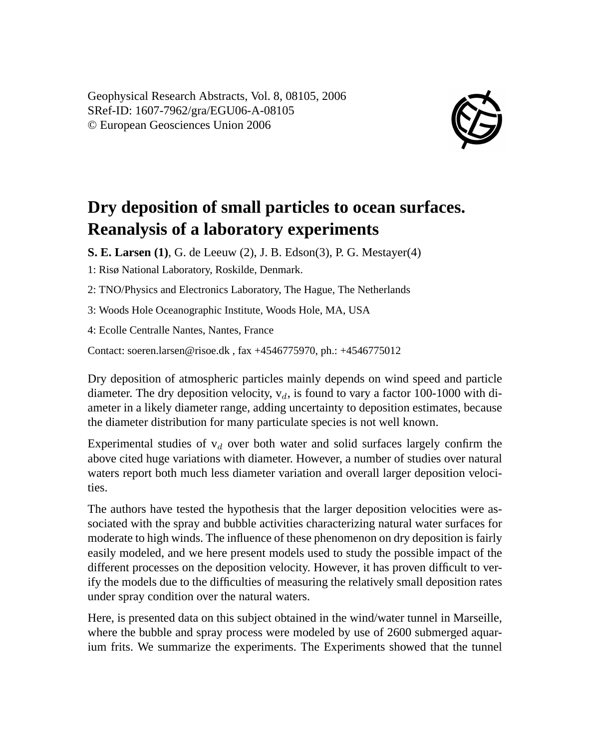Geophysical Research Abstracts, Vol. 8, 08105, 2006 SRef-ID: 1607-7962/gra/EGU06-A-08105 © European Geosciences Union 2006



## **Dry deposition of small particles to ocean surfaces. Reanalysis of a laboratory experiments**

**S. E. Larsen (1)**, G. de Leeuw (2), J. B. Edson(3), P. G. Mestayer(4)

1: Risø National Laboratory, Roskilde, Denmark.

2: TNO/Physics and Electronics Laboratory, The Hague, The Netherlands

3: Woods Hole Oceanographic Institute, Woods Hole, MA, USA

4: Ecolle Centralle Nantes, Nantes, France

Contact: soeren.larsen@risoe.dk , fax +4546775970, ph.: +4546775012

Dry deposition of atmospheric particles mainly depends on wind speed and particle diameter. The dry deposition velocity,  $v_d$ , is found to vary a factor 100-1000 with diameter in a likely diameter range, adding uncertainty to deposition estimates, because the diameter distribution for many particulate species is not well known.

Experimental studies of  $v_d$  over both water and solid surfaces largely confirm the above cited huge variations with diameter. However, a number of studies over natural waters report both much less diameter variation and overall larger deposition velocities.

The authors have tested the hypothesis that the larger deposition velocities were associated with the spray and bubble activities characterizing natural water surfaces for moderate to high winds. The influence of these phenomenon on dry deposition is fairly easily modeled, and we here present models used to study the possible impact of the different processes on the deposition velocity. However, it has proven difficult to verify the models due to the difficulties of measuring the relatively small deposition rates under spray condition over the natural waters.

Here, is presented data on this subject obtained in the wind/water tunnel in Marseille, where the bubble and spray process were modeled by use of 2600 submerged aquarium frits. We summarize the experiments. The Experiments showed that the tunnel